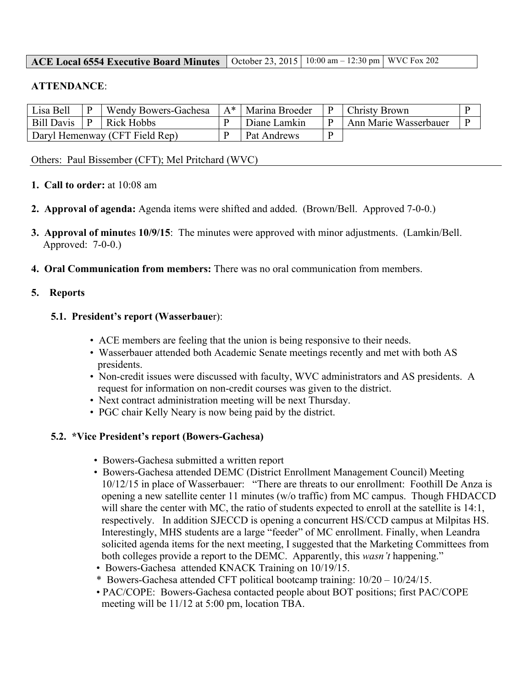### **ACE Local 6554 Executive Board Minutes** | October 23, 2015 | 10:00 am – 12:30 pm | WVC Fox 202

### **ATTENDANCE**:

| Lisa Bell                      |  | <b>Wendy Bowers-Gachesa</b> | $A^*$   Marina Broeder | Christy Brown         |  |
|--------------------------------|--|-----------------------------|------------------------|-----------------------|--|
| <b>Bill Davis</b>              |  | Rick Hobbs                  | Diane Lamkin           | Ann Marie Wasserbauer |  |
| Daryl Hemenway (CFT Field Rep) |  |                             | Pat Andrews            |                       |  |

### Others: Paul Bissember (CFT); Mel Pritchard (WVC)

- **1. Call to order:** at 10:08 am
- **2. Approval of agenda:** Agenda items were shifted and added. (Brown/Bell. Approved 7-0-0.)
- **3. Approval of minute**s **10/9/15**: The minutes were approved with minor adjustments. (Lamkin/Bell. Approved: 7-0-0.)
- **4. Oral Communication from members:** There was no oral communication from members.

### **5. Reports**

### **5.1. President's report (Wasserbaue**r):

- ACE members are feeling that the union is being responsive to their needs.
- Wasserbauer attended both Academic Senate meetings recently and met with both AS presidents.
- Non-credit issues were discussed with faculty, WVC administrators and AS presidents. A request for information on non-credit courses was given to the district.
- Next contract administration meeting will be next Thursday.
- PGC chair Kelly Neary is now being paid by the district.

### **5.2. \*Vice President's report (Bowers-Gachesa)**

- Bowers-Gachesa submitted a written report
- Bowers-Gachesa attended DEMC (District Enrollment Management Council) Meeting 10/12/15 in place of Wasserbauer: "There are threats to our enrollment: Foothill De Anza is opening a new satellite center 11 minutes (w/o traffic) from MC campus. Though FHDACCD will share the center with MC, the ratio of students expected to enroll at the satellite is 14:1, respectively. In addition SJECCD is opening a concurrent HS/CCD campus at Milpitas HS. Interestingly, MHS students are a large "feeder" of MC enrollment. Finally, when Leandra solicited agenda items for the next meeting, I suggested that the Marketing Committees from both colleges provide a report to the DEMC. Apparently, this *wasn't* happening."
- Bowers-Gachesa attended KNACK Training on 10/19/15.
- \* Bowers-Gachesa attended CFT political bootcamp training: 10/20 10/24/15.
- PAC/COPE: Bowers-Gachesa contacted people about BOT positions; first PAC/COPE meeting will be 11/12 at 5:00 pm, location TBA.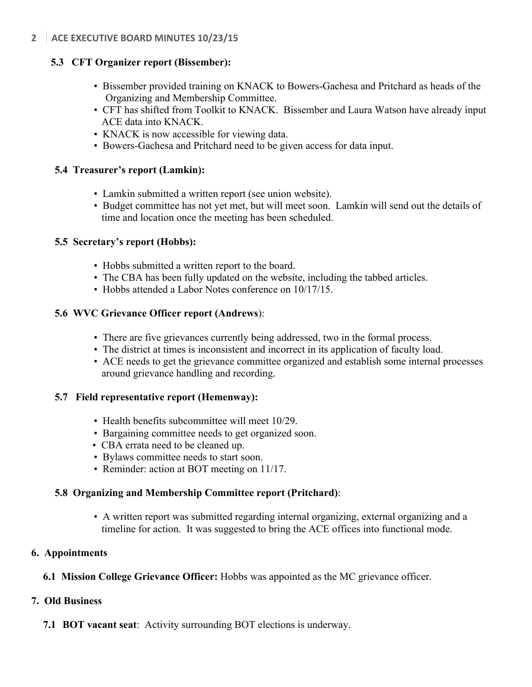## **5.3 CFT Organizer report (Bissember):**

- Bissember provided training on KNACK to Bowers-Gachesa and Pritchard as heads of the Organizing and Membership Committee.
- CFT has shifted from Toolkit to KNACK. Bissember and Laura Watson have already input ACE data into KNACK.
- KNACK is now accessible for viewing data.
- Bowers-Gachesa and Pritchard need to be given access for data input.

### **5.4 Treasurer's report (Lamkin):**

- Lamkin submitted a written report (see union website).
- Budget committee has not yet met, but will meet soon. Lamkin will send out the details of time and location once the meeting has been scheduled.

## **5.5 Secretary's report (Hobbs):**

- Hobbs submitted a written report to the board.
- The CBA has been fully updated on the website, including the tabbed articles.
- Hobbs attended a Labor Notes conference on  $10/17/15$ .

## **5.6 WVC Grievance Officer report (Andrews**):

- There are five grievances currently being addressed, two in the formal process.
- The district at times is inconsistent and incorrect in its application of faculty load.
- ACE needs to get the grievance committee organized and establish some internal processes around grievance handling and recording.

### **5.7 Field representative report (Hemenway):**

- Health benefits subcommittee will meet  $10/29$ .
- Bargaining committee needs to get organized soon.
- CBA errata need to be cleaned up.
- Bylaws committee needs to start soon.
- Reminder: action at BOT meeting on 11/17.

# **5.8 Organizing and Membership Committee report (Pritchard)**:

• A written report was submitted regarding internal organizing, external organizing and a timeline for action. It was suggested to bring the ACE offices into functional mode.

# **6. Appointments**

# **6.1 Mission College Grievance Officer:** Hobbs was appointed as the MC grievance officer.

# **7. Old Business**

**7.1 BOT vacant seat**: Activity surrounding BOT elections is underway.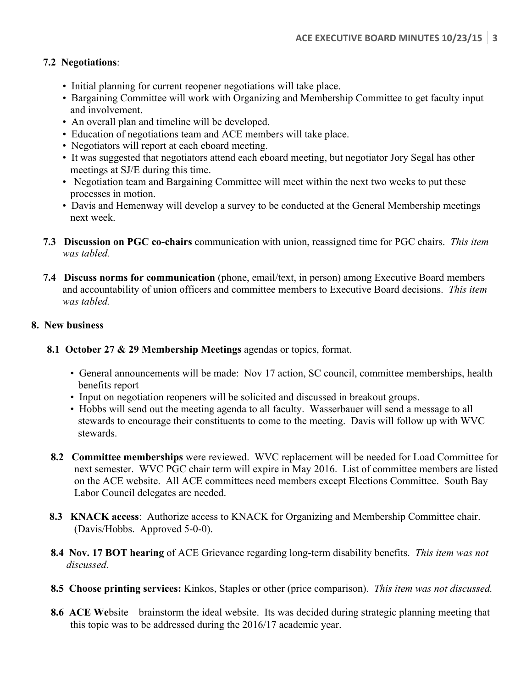## **7.2 Negotiations**:

- Initial planning for current reopener negotiations will take place.
- Bargaining Committee will work with Organizing and Membership Committee to get faculty input and involvement.
- An overall plan and timeline will be developed.
- Education of negotiations team and ACE members will take place.
- Negotiators will report at each eboard meeting.
- It was suggested that negotiators attend each eboard meeting, but negotiator Jory Segal has other meetings at SJ/E during this time.
- Negotiation team and Bargaining Committee will meet within the next two weeks to put these processes in motion.
- Davis and Hemenway will develop a survey to be conducted at the General Membership meetings next week.
- **7.3 Discussion on PGC co-chairs** communication with union, reassigned time for PGC chairs. *This item was tabled.*
- **7.4 Discuss norms for communication** (phone, email/text, in person) among Executive Board members and accountability of union officers and committee members to Executive Board decisions. *This item was tabled.*

## **8. New business**

- **8.1 October 27 & 29 Membership Meetings** agendas or topics, format.
	- General announcements will be made: Nov 17 action, SC council, committee memberships, health benefits report
	- Input on negotiation reopeners will be solicited and discussed in breakout groups.
	- Hobbs will send out the meeting agenda to all faculty. Wasserbauer will send a message to all stewards to encourage their constituents to come to the meeting. Davis will follow up with WVC stewards.
- **8.2 Committee memberships** were reviewed. WVC replacement will be needed for Load Committee for next semester. WVC PGC chair term will expire in May 2016. List of committee members are listed on the ACE website. All ACE committees need members except Elections Committee. South Bay Labor Council delegates are needed.
- **8.3 KNACK access**: Authorize access to KNACK for Organizing and Membership Committee chair. (Davis/Hobbs. Approved 5-0-0).
- **8.4 Nov. 17 BOT hearing** of ACE Grievance regarding long-term disability benefits. *This item was not discussed.*
- **8.5 Choose printing services:** Kinkos, Staples or other (price comparison). *This item was not discussed.*
- **8.6 ACE We**bsite brainstorm the ideal website. Its was decided during strategic planning meeting that this topic was to be addressed during the 2016/17 academic year.